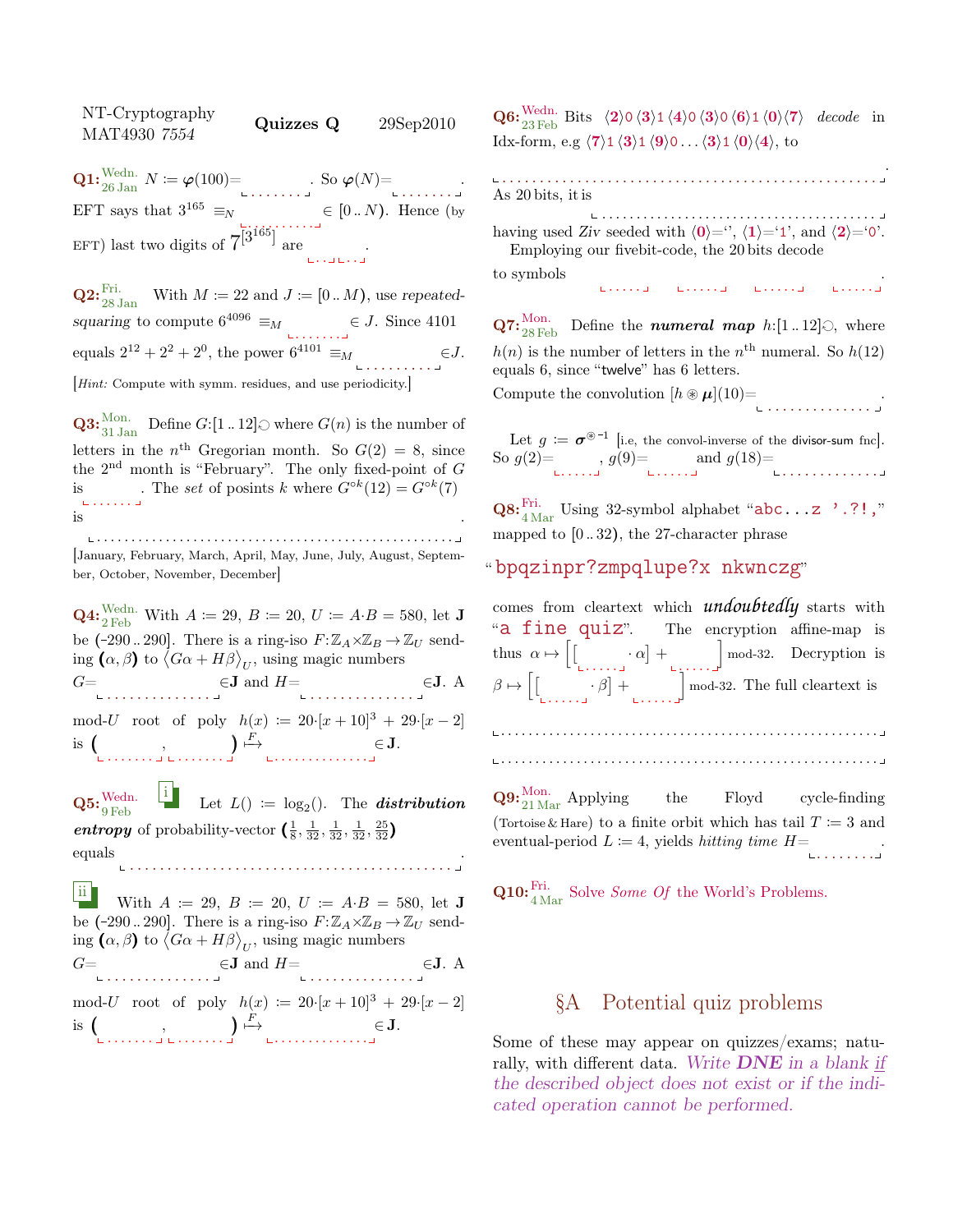$MAT4930$   $7554$  Quizzes  $Q$  29Sep2010 **Q1:**  $\text{Wedn. } N := \varphi(100) = \text{Sov}(N) = \text{Sov}(N)$ EFT says that  $3^{165} \equiv_N \in [0..N)$ . Hence (by EFT) last two digits of  $7^{[3^{165}]}$  are

NT-Cryptography

**Q2:**  $_{28 \text{ Jan }}^{\text{Fri.}}$  With  $M \coloneqq 22$  and  $J \coloneqq [0..M)$ , use repeatedsquaring to compute  $6^{4096} \equiv_M \in J$ . Since 4101 equals  $2^{12} + 2^2 + 2^0$ , the power  $6^{4101} \equiv_M$ . . . . . . . . .  $\in J$ . [Hint: Compute with symm. residues, and use periodicity.]

**Q3:**  $_{31 \text{ Jan}}^{\text{Mon.}}$  Define G:[1 .. 12]  $\odot$  where  $G(n)$  is the number of letters in the  $n<sup>th</sup>$  Gregorian month. So  $G(2) = 8$ , since the  $2<sup>nd</sup>$  month is "February". The only fixed-point of  $G$ . The set of posints k where  $G^{\circ k}(12) = G^{\circ k}(7)$ is  $\mathbf{L}$ is .

. . . . . . . . . . . . . . . . . . . . . . . . . . . . . . . . . . . . . . . . . . . . . . . . . . . . [January, February, March, April, May, June, July, August, September, October, November, December]

**Q4:**  $\frac{\text{Wedn}}{2 \text{ Feb}}$ . With  $A \coloneqq 29$ ,  $B \coloneqq 20$ ,  $U \coloneqq A \cdot B = 580$ , let **J** be (-290...290]. There is a ring-iso  $F: \mathbb{Z}_A \times \mathbb{Z}_B \to \mathbb{Z}_U$  sending  $(\alpha, \beta)$  to  $\langle G\alpha + H\beta \rangle_{U}$ , using magic numbers  $G=$  $\in$ **J** and  $H=$   $\in$ **J**. A mod-U root of poly  $h(x) := 20 \cdot [x+10]^3 + 29 \cdot [x-2]$  $is($ . . . . . . . . . <del>.</del> . . . . . . . .  $\big) \stackrel{F}{\longmapsto}$ . . . . . . . . . . . . . . ∈ J.  $\mathbf{Q5:} \frac{\text{Wedn.}}{9 \,\text{Feb}}$ i Let  $L() := log_2()$ . The **distribution** entropy of probability-vector  $\left(\frac{1}{8}, \frac{1}{32}, \frac{1}{32}, \frac{1}{32}, \frac{25}{32}\right)$ equals . . . . . . . . . . . . . . . . . . . . . . . . . . . . . . . . . . . . . . . . . . . .

ii With  $A := 29$ ,  $B := 20$ ,  $U := A \cdot B = 580$ , let **J** be (-290...290]. There is a ring-iso  $F: \mathbb{Z}_A \times \mathbb{Z}_B \to \mathbb{Z}_U$  sending  $(\alpha, \beta)$  to  $\langle G\alpha + H\beta \rangle_{U}$ , using magic numbers  $G=$  $\in$ **J** and  $H=$ . . . . . . . . . . . . . . ∈J. A mod-U root of poly  $h(x) := 20 \cdot [x + 10]^3 + 29 \cdot [x - 2]$ 

is  $\left(\begin{array}{c} 0 & 0 \\ 0 & 0 \end{array}\right)$  $\big) \stackrel{F}{\longmapsto}$ . . . . . . . . . . . . . . ∈ J.

 $\mathbf{Q6:}^{\text{Wedn.}}_{23 \text{ Feb}}$  Bits  $\langle 2 \rangle 0 \langle 3 \rangle 1 \langle 4 \rangle 0 \langle 3 \rangle 0 \langle 6 \rangle 1 \langle 0 \rangle \langle 7 \rangle$  decode in Idx-form, e.g  $\langle 7 \rangle$ 1  $\langle 3 \rangle$ 1  $\langle 9 \rangle$ 0 . . .  $\langle 3 \rangle$ 1  $\langle 0 \rangle$  $\langle 4 \rangle$ , to

| As 20 bits, it is                                                                                                                                                  |  |
|--------------------------------------------------------------------------------------------------------------------------------------------------------------------|--|
| having used Ziv seeded with $\langle 0 \rangle =$ '', $\langle 1 \rangle = 1$ ', and $\langle 2 \rangle = 0$ '.<br>Employing our five bit-code, the 20 bits decode |  |
| to symbols<br>Experience there is the following the transition                                                                                                     |  |

 $\mathbf{Q7:}_{28 \text{ Feb}}^{\text{Mon.}}$  Define the *numeral map h*:[1..12] $\odot$ , where  $h(n)$  is the number of letters in the  $n<sup>th</sup>$  numeral. So  $h(12)$ equals 6, since "twelve" has 6 letters.

Compute the convolution  $[h \otimes \mu](10)$ = . . . . . . . . . . . . . .

.

|                                      | Let $g := \sigma^{\circledast -1}$ [i.e, the convol-inverse of the divisor-sum fnc].                                                                                                                                           |  |
|--------------------------------------|--------------------------------------------------------------------------------------------------------------------------------------------------------------------------------------------------------------------------------|--|
| So $g(2)$ = , $g(9)$ = and $g(18)$ = |                                                                                                                                                                                                                                |  |
|                                      | the sense that the sense is the sense of the sense of the sense of the sense of the sense of the sense of the sense of the sense of the sense of the sense of the sense of the sense of the sense of the sense of the sense of |  |

 $\mathbf{Q8:}^{\mathrm{Fri.}}_{4\,\mathrm{Mar}}$  Using 32-symbol alphabet "abc...z '.?!," mapped to [0 .. 32), the 27-character phrase

#### " bpqzinpr?zmpqlupe?x nkwnczg"

comes from cleartext which *undoubtedly* starts with "a fine quiz". The encryption affine-map is thus  $\alpha \mapsto \lceil \lceil$  $\cdot \alpha$  +  $\alpha$  +  $\alpha$  +  $\alpha$  +  $\alpha$  +  $\alpha$  +  $\alpha$  +  $\alpha$  +  $\alpha$  +  $\alpha$  +  $\alpha$  +  $\alpha$  +  $\alpha$  +  $\alpha$  +  $\alpha$  +  $\alpha$  +  $\alpha$  +  $\alpha$  +  $\alpha$  +  $\alpha$  +  $\alpha$  +  $\alpha$  +  $\alpha$  +  $\alpha$  +  $\alpha$  +  $\alpha$  +  $\alpha$  +  $\alpha$  +  $\alpha$  +  $\alpha$  +  $\alpha$  +  $\$ mod-32. Decryption is  $\beta \mapsto [$  $\cdot \beta$  +  $\ldots$  . mod-32. The full cleartext is . . . . . . . . . . . . . . . . . . . . . . . . . . . . . . . . . . . . . . . . . . . . . . . . . . . . . . . . . . . . . . . . . . . . . . . . . . . . . . . . . . . . . . . . . . . . . . . . . . . . . . . . . . . . . . **Q9:**  $\frac{\text{Mon.}}{21 \text{Mar}}$  Applying the Floyd cycle-finding (Tortoise & Hare) to a finite orbit which has tail  $T := 3$  and eventual-period  $L \coloneqq 4$ , yields *hitting time*  $H=$ . . . . . . . . .

**Q10:**<sup>Fri.</sup> Solve *Some Of* the World's Problems.

### §A Potential quiz problems

Some of these may appear on quizzes/exams; naturally, with different data. Write  $DNE$  in a blank if the described object does not exist or if the indicated operation cannot be performed.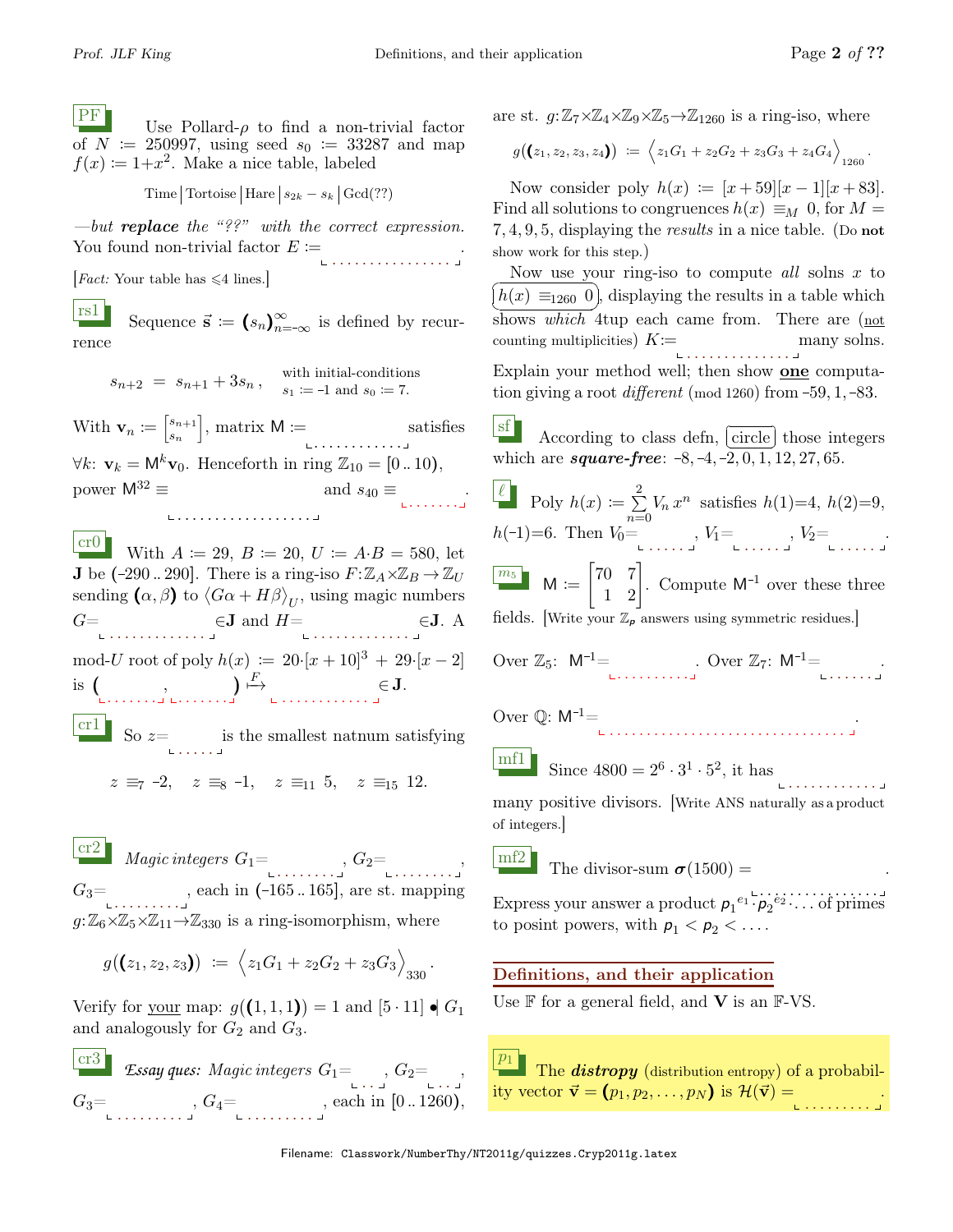**PF** Use Pollard- $\rho$  to find a non-trivial factor of  $N = 250997$ , using seed  $s_0 := 33287$  and map  $f(x) \coloneqq 1 + x^2$ . Make a nice table, labeled

Time Tortoise Hare  $|s_{2k} - s_k|$  Gcd(??)

—but **replace** the "??" with the correct expression. You found non-trivial factor  $E :=$ . . . . . . . . . . . . . . . . .

*Fact:* Your table has  $\leq 4$  lines.

**rs1** Sequence  $\vec{s} := (s_n)_{n=-\infty}^{\infty}$  is defined by recurrence

> $s_{n+2} = s_{n+1} + 3s_n$ , with initial-conditions  $s_1 := -1$  and  $s_0 := 7$ .

With  $\mathbf{v}_n \coloneqq \begin{bmatrix} s_{n+1} \\ s \end{bmatrix}$ sn  $\Big]$ , matrix  $M :=$ . . . . . . . . . . . . satisfies  $\forall k: \mathbf{v}_k = \mathsf{M}^k \mathbf{v}_0$ . Henceforth in ring  $\mathbb{Z}_{10} = [0..10)$ , power  $M^{32} \equiv$ . . . . . . . . . . . . . . . . . . and  $s_{40} \equiv$ .

cr0 With  $A := 29, B := 20, U := A \cdot B = 580$ , let **J** be  $(-290..290]$ . There is a ring-iso  $F: \mathbb{Z}_A \times \mathbb{Z}_B \to \mathbb{Z}_U$ sending  $(\alpha, \beta)$  to  $\langle G\alpha + H\beta \rangle_{U}$ , using magic numbers  $G=$  $\in$ **J** and  $H=$   $\in$ **J**. A mod-U root of poly  $h(x) := 20 \cdot [x + 10]^3 + 29 \cdot [x - 2]$ is  $\left(\right)$ ,  $\left(\right)$  $\big) \stackrel{F}{\mapsto} \in \mathbf{J}.$  $\begin{bmatrix} \text{cr} 1 \end{bmatrix}$  So  $z =$  is the smallest natnum satisfying

 $z \equiv_7 -2$ ,  $z \equiv_8 -1$ ,  $z \equiv_{11} 5$ ,  $z \equiv_{15} 12$ .

cr2 Magic integers <sup>G</sup>1<sup>=</sup> . . . . . . . . , G2= . . . . . . . . ,  $G_3 = \dots$ , each in  $(-165..165]$ , are st. mapping  $g: \mathbb{Z}_6 \times \mathbb{Z}_5 \times \mathbb{Z}_{11} \rightarrow \mathbb{Z}_{330}$  is a ring-isomorphism, where

$$
g((z_1,z_2,z_3)) := \left\langle z_1G_1 + z_2G_2 + z_3G_3 \right\rangle_{330}.
$$

Verify for your map:  $g((1,1,1)) = 1$  and  $[5 \cdot 11] \bullet G_1$ and analogously for  $G_2$  and  $G_3$ .

cr3 **Essay ques:** Magic integers  $G_1 = \{$ ,  $G_2 = \{$  $G_3=$  $, G_4 = \dots \dots \dots \dots$  are st.  $g: \mathbb{Z}_7 \times \mathbb{Z}_4 \times \mathbb{Z}_9 \times \mathbb{Z}_5 \rightarrow \mathbb{Z}_{1260}$  is a ring-iso, where

$$
g((z_1,z_2,z_3,z_4)) := \left\langle z_1G_1 + z_2G_2 + z_3G_3 + z_4G_4 \right\rangle_{1260}.
$$

Now consider poly  $h(x) := [x+59][x-1][x+83]$ . Find all solutions to congruences  $h(x) \equiv_M 0$ , for  $M =$ 7, 4, 9, 5, displaying the results in a nice table. (Do not show work for this step.)

Now use your ring-iso to compute all solns  $x$  to shows which 4tup each came from. There are  $(not$  $h(x) \equiv_{1260} 0$ , displaying the results in a table which counting multiplicities)  $K:=$ .<br>1 . . . . . . . . . . . . . . . . 1 many solns. Explain your method well; then show one computation giving a root different (mod 1260) from  $-59, 1, -83$ .

 $\frac{\text{sf}}{\text{sc}}$  According to class defn, circle those integers which are  $square-free: -8, -4, -2, 0, 1, 12, 27, 65.$ 

Poly 
$$
h(x) := \sum_{n=0}^{2} V_n x^n
$$
 satisfies  $h(1)=4$ ,  $h(2)=9$ ,  
\n $h(-1)=6$ . Then  $V_0 = \bigcup_{n=0}^{n=0} V_1 = \bigcup_{n=0}^{n} V_2 = \bigcup_{n=0}^{n} V_3 = \bigcup_{n=0}^{n} V_n$   
\n $M := \begin{bmatrix} 70 & 7 \\ 1 & 2 \end{bmatrix}$ . Compute M<sup>-1</sup> over these three fields. [Write your  $\mathbb{Z}_p$  answers using symmetric residues.]

Over 
$$
\mathbb{Z}_5
$$
:  $M^{-1} =$   $\dots$  Over  $\mathbb{Z}_7$ :  $M^{-1} =$ 

Over  $\mathbb{Q}$ :  $\mathsf{M}^{-1}$  =

 $\begin{bmatrix} \text{mf1} \\ \text{Since } 4800 = 2^6 \cdot 3^1 \cdot 5^2, \text{ it has} \end{bmatrix}$ 

. . . . . . . . . . . . many positive divisors. [Write ANS naturally as a product of integers.]

 $\begin{bmatrix} mf2 \\ mf2 \end{bmatrix}$  The divisor-sum  $\sigma(1500) =$ 

. . <u>.</u> . . . . . . <u>.</u> . . . . . Express your answer a product  $p_1^{e_1} \cdots p_2^{e_2} \cdots$  of primes to posint powers, with  $p_1 < p_2 < \ldots$ .

.

# Definitions, and their application

Use  $\mathbb F$  for a general field, and **V** is an  $\mathbb F$ -VS.

 $\overline{p_1}$ The  $distropy$  (distribution entropy) of a probability vector  $\vec{\mathbf{v}} = (p_1, p_2, \dots, p_N)$  is  $\mathcal{H}(\vec{\mathbf{v}}) =$ .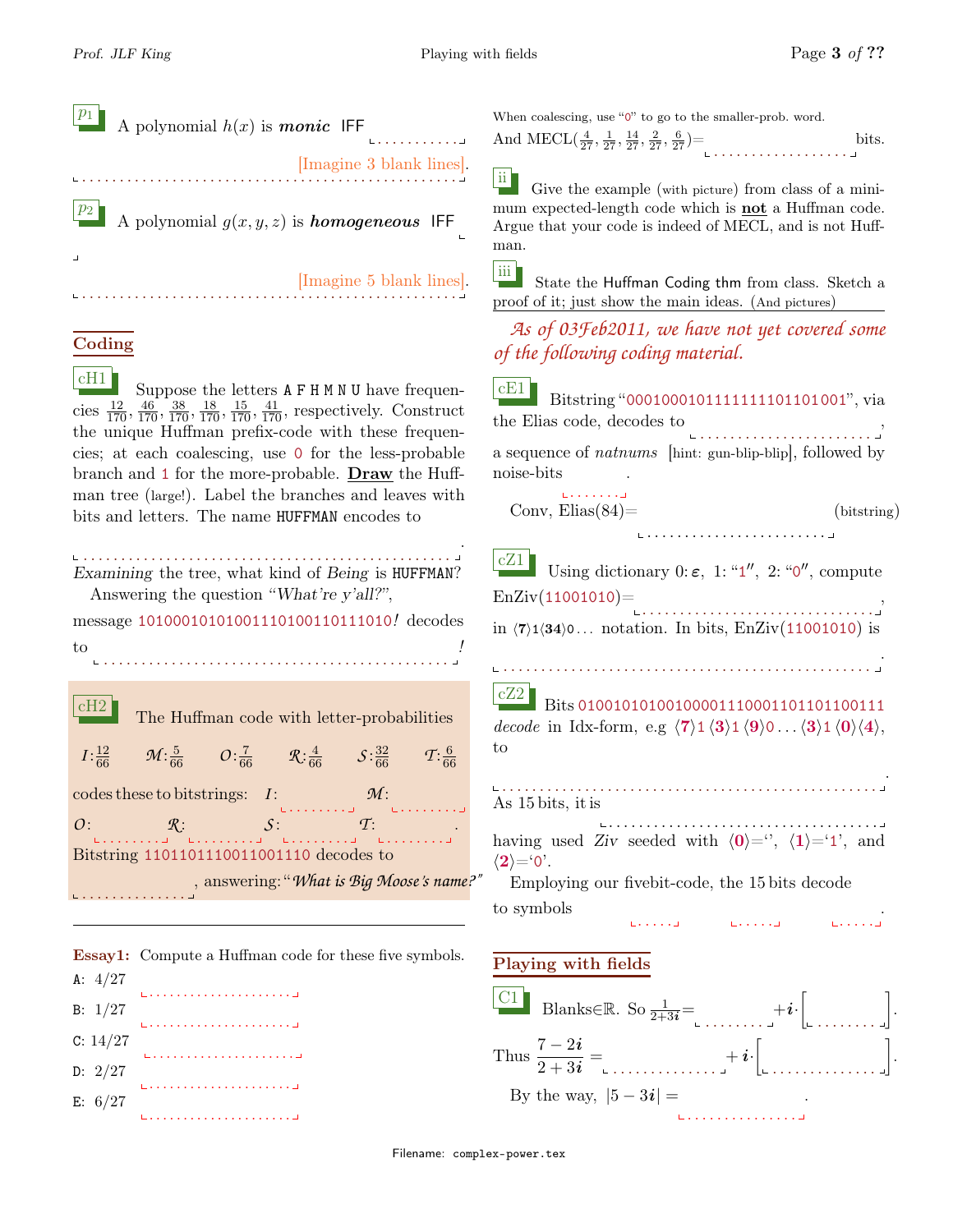bits.

| $\boxed{p_1}$ A polynomial $h(x)$ is <b>monic</b> IFF<br>. <u>.</u> |
|---------------------------------------------------------------------|
| [Imagine 3 blank lines].                                            |
| $\boxed{p_2}$ A polynomial $g(x, y, z)$ is <b>homogeneous</b> IFF   |
| [Imagine 5 blank lines].                                            |

### Coding

 $\begin{bmatrix} cH1 \end{bmatrix}$  Suppose the letters  $A$  F H M N U have frequencies  $\frac{12}{170}, \frac{46}{170}, \frac{38}{170}, \frac{18}{170}, \frac{15}{170}, \frac{41}{170}$ , respectively. Construct the unique Huffman prefix-code with these frequencies; at each coalescing, use 0 for the less-probable branch and 1 for the more-probable. Draw the Huffman tree (large!). Label the branches and leaves with bits and letters. The name HUFFMAN encodes to

. . . . . . . . . . . . . . . . . . . . . . . . . . . . . . . . . . . . . . . . . . . . . . . . . . Examining the tree, what kind of Being is HUFFMAN? Answering the question "What're y'all?", message 10100010101001110100110111010! decodes to . . . . . . . . . . . . . . . . . . . . . . . . . . . . . . . . . . . . . . . . . . . . . . ! cH2 The Huffman code with letter-probabilities  $I: \frac{12}{66}$  $\frac{12}{66}$   $\mathcal{M}:\frac{5}{66}$   $\mathcal{O}:\frac{7}{66}$   $\mathcal{R}:\frac{4}{66}$   $\mathcal{S}:\frac{32}{66}$   $\mathcal{T}:\frac{6}{66}$ 66

codes these to bitstrings: *I*: *O* : . . . . . . . . *R* : . . . . . . . . *S* : . . . . . . . . *T* : . . . . . . . . . Bitstring 1101101110011001110 decodes to . . . . . . . . . . . . . . , answering: "*What is Big Moose's name?"*

Essay1: Compute a Huffman code for these five symbols.

| A: $4/27$  |  |
|------------|--|
| B: $1/27$  |  |
| C: $14/27$ |  |
| D: $2/27$  |  |
| E: $6/27$  |  |
|            |  |

When coalescing, use "0" to go to the smaller-prob. word. And MECL $(\frac{4}{27}, \frac{1}{27}, \frac{14}{27}, \frac{2}{27}, \frac{6}{27})$  \_



 $\overline{u}$  Give the example (with picture) from class of a minimum expected-length code which is not a Huffman code. Argue that your code is indeed of MECL, and is not Huffman.

iii State the Huffman Coding thm from class. Sketch a proof of it; just show the main ideas. (And pictures)

## *As of 03Feb2011, we have not yet covered some of the following coding material.*

|                            | $\boxed{\text{cE1}}$ Bitstring "000100010111111111101101001", via |
|----------------------------|-------------------------------------------------------------------|
| the Elias code, decodes to |                                                                   |
|                            |                                                                   |
|                            | a sequence of <i>natnums</i> [hint: gun-blip-blip], followed by   |
| noise-bits                 |                                                                   |
|                            |                                                                   |

Conv,  $Elias (84) =$ (bitstring)

. . . . . . . . . . . . . . . . . . . . . . . .

. . . . . . . . . . . . . . .

| cZ1<br>Using dictionary 0: $\varepsilon$ , 1: "1", 2: "0", compute                                                                                                                                                 |
|--------------------------------------------------------------------------------------------------------------------------------------------------------------------------------------------------------------------|
| $EnZiv(11001010) =$                                                                                                                                                                                                |
| in $\langle 7 \rangle$ 1 $\langle 34 \rangle$ 0 notation. In bits, EnZiv(11001010) is                                                                                                                              |
|                                                                                                                                                                                                                    |
| cZ2<br>Bits 01001010100100001110001101101100111<br>decode in Idx-form, e.g $\langle 7 \rangle$ 1 $\langle 3 \rangle$ 1 $\langle 9 \rangle$ 0 $\langle 3 \rangle$ 1 $\langle 0 \rangle$ $\langle 4 \rangle$ ,<br>to |
| As 15 bits, it is                                                                                                                                                                                                  |
| having used Ziv seeded with $\langle 0 \rangle =$ ", $\langle 1 \rangle = 1$ ", and<br>$\langle 2 \rangle = 0$ .                                                                                                   |
| Employing our fivebit-code, the 15 bits decode                                                                                                                                                                     |
| to symbols                                                                                                                                                                                                         |

#### Playing with fields



Filename: complex-power.tex